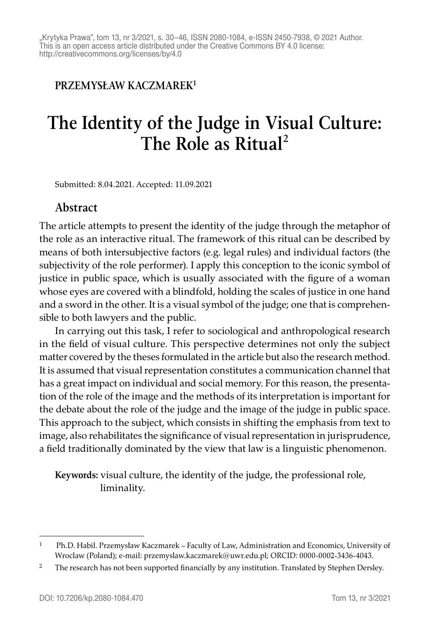#### **PRZEMYSŁAW KACZMAREK1**

# **The Identity of the Judge in Visual Culture: The Role as Ritual<sup>2</sup>**

Submitted: 8.04.2021. Accepted: 11.09.2021

#### **Abstract**

The article attempts to present the identity of the judge through the metaphor of the role as an interactive ritual. The framework of this ritual can be described by means of both intersubjective factors (e.g. legal rules) and individual factors (the subjectivity of the role performer). I apply this conception to the iconic symbol of justice in public space, which is usually associated with the figure of a woman whose eyes are covered with a blindfold, holding the scales of justice in one hand and a sword in the other. It is a visual symbol of the judge; one that is comprehensible to both lawyers and the public.

In carrying out this task, I refer to sociological and anthropological research in the field of visual culture. This perspective determines not only the subject matter covered by the theses formulated in the article but also the research method. It is assumed that visual representation constitutes a communication channel that has a great impact on individual and social memory. For this reason, the presentation of the role of the image and the methods of its interpretation is important for the debate about the role of the judge and the image of the judge in public space. This approach to the subject, which consists in shifting the emphasis from text to image, also rehabilitates the significance of visual representation in jurisprudence, a field traditionally dominated by the view that law is a linguistic phenomenon.

**Keywords:** visual culture, the identity of the judge, the professional role, liminality.

<sup>1</sup> Ph.D. Habil. Przemysław Kaczmarek – Faculty of Law, Administration and Economics, University of Wroclaw (Poland); e-mail: przemyslaw.kaczmarek@uwr.edu.pl; ORCID: 0000-0002-3436-4043.

<sup>&</sup>lt;sup>2</sup> The research has not been supported financially by any institution. Translated by Stephen Dersley.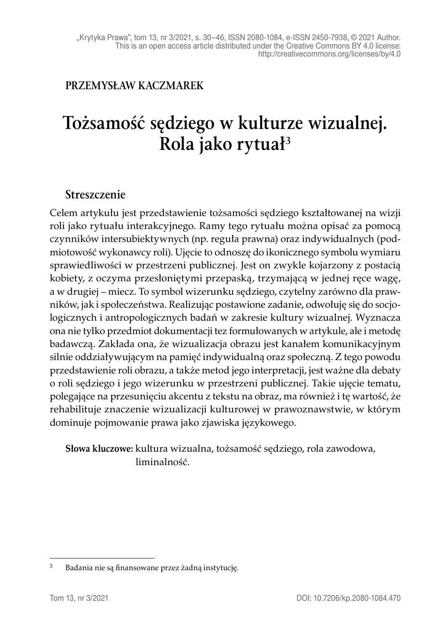#### **PRZEMYSŁAW KACZMAREK**

# **Tożsamość sędziego w kulturze wizualnej. Rola jako rytuał3**

#### **Streszczenie**

Celem artykułu jest przedstawienie tożsamości sędziego kształtowanej na wizji roli jako rytuału interakcyjnego. Ramy tego rytuału można opisać za pomocą czynników intersubiektywnych (np. reguła prawna) oraz indywidualnych (podmiotowość wykonawcy roli). Ujęcie to odnoszę do ikonicznego symbolu wymiaru sprawiedliwości w przestrzeni publicznej. Jest on zwykle kojarzony z postacią kobiety, z oczyma przesłoniętymi przepaską, trzymającą w jednej ręce wagę, a w drugiej – miecz. To symbol wizerunku sędziego, czytelny zarówno dla prawników, jak i społeczeństwa. Realizując postawione zadanie, odwołuję się do socjologicznych i antropologicznych badań w zakresie kultury wizualnej. Wyznacza ona nie tylko przedmiot dokumentacji tez formułowanych w artykule, ale i metodę badawczą. Zakłada ona, że wizualizacja obrazu jest kanałem komunikacyjnym silnie oddziaływującym na pamięć indywidualną oraz społeczną. Z tego powodu przedstawienie roli obrazu, a także metod jego interpretacji, jest ważne dla debaty o roli sędziego i jego wizerunku w przestrzeni publicznej. Takie ujęcie tematu, polegające na przesunięciu akcentu z tekstu na obraz, ma również i tę wartość, że rehabilituje znaczenie wizualizacji kulturowej w prawoznawstwie, w którym dominuje pojmowanie prawa jako zjawiska językowego.

**Słowa kluczowe:** kultura wizualna, tożsamość sędziego, rola zawodowa, liminalność.

<sup>3</sup> Badania nie są finansowane przez żadną instytucję.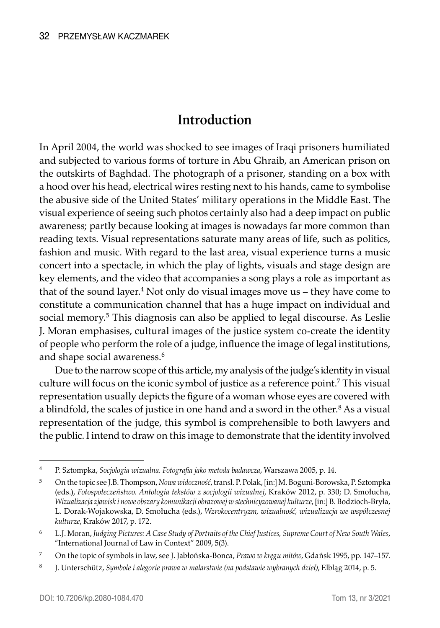## **Introduction**

In April 2004, the world was shocked to see images of Iraqi prisoners humiliated and subjected to various forms of torture in Abu Ghraib, an American prison on the outskirts of Baghdad. The photograph of a prisoner, standing on a box with a hood over his head, electrical wires resting next to his hands, came to symbolise the abusive side of the United States' military operations in the Middle East. The visual experience of seeing such photos certainly also had a deep impact on public awareness; partly because looking at images is nowadays far more common than reading texts. Visual representations saturate many areas of life, such as politics, fashion and music. With regard to the last area, visual experience turns a music concert into a spectacle, in which the play of lights, visuals and stage design are key elements, and the video that accompanies a song plays a role as important as that of the sound layer.<sup>4</sup> Not only do visual images move us – they have come to constitute a communication channel that has a huge impact on individual and social memory.<sup>5</sup> This diagnosis can also be applied to legal discourse. As Leslie J. Moran emphasises, cultural images of the justice system co-create the identity of people who perform the role of a judge, influence the image of legal institutions, and shape social awareness.<sup>6</sup>

Due to the narrow scope of this article, my analysis of the judge's identity in visual culture will focus on the iconic symbol of justice as a reference point.<sup>7</sup> This visual representation usually depicts the figure of a woman whose eyes are covered with a blindfold, the scales of justice in one hand and a sword in the other.<sup>8</sup> As a visual representation of the judge, this symbol is comprehensible to both lawyers and the public. I intend to draw on this image to demonstrate that the identity involved

<sup>4</sup> P. Sztompka, *Socjologia wizualna. Fotografia jako metoda badawcza*, Warszawa 2005, p. 14.

<sup>5</sup> On the topic see J.B. Thompson, *Nowa widoczność*, transl. P. Polak, [in:] M. Boguni-Borowska, P. Sztompka (eds.), *Fotospołeczeństwo. Antologia tekstów z socjologii wizualnej*, Kraków 2012, p. 330; D. Smołucha, *Wizualizacja zjawisk i nowe obszary komunikacji obrazowej w stechnicyzowanej kulturze*, [in:] B. Bodzioch-Bryła, L. Dorak-Wojakowska, D. Smołucha (eds.), *Wzrokocentryzm, wizualność, wizualizacja we współczesnej kulturze*, Kraków 2017, p. 172.

<sup>6</sup> L.J. Moran, *Judging Pictures: A Case Study of Portraits of the Chief Justices, Supreme Court of New South Wales*, "International Journal of Law in Context" 2009, 5(3).

<sup>7</sup> On the topic of symbols in law, see J. Jabłońska-Bonca, *Prawo w kręgu mitów*, Gdańsk 1995, pp. 147–157.

<sup>8</sup> J. Unterschütz, *Symbole i alegorie prawa w malarstwie (na podstawie wybranych dzieł)*, Elbląg 2014, p. 5.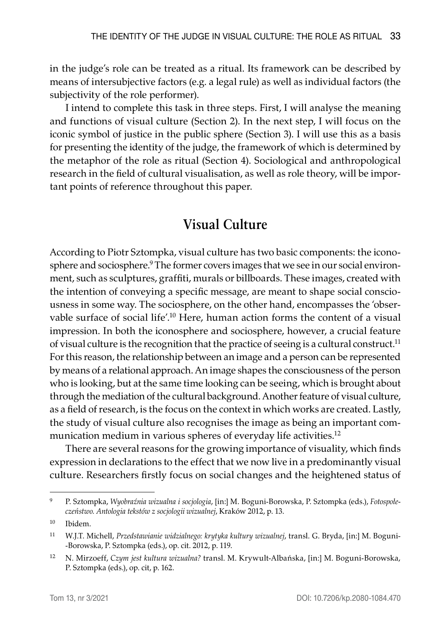in the judge's role can be treated as a ritual. Its framework can be described by means of intersubjective factors (e.g. a legal rule) as well as individual factors (the subjectivity of the role performer).

I intend to complete this task in three steps. First, I will analyse the meaning and functions of visual culture (Section 2). In the next step, I will focus on the iconic symbol of justice in the public sphere (Section 3). I will use this as a basis for presenting the identity of the judge, the framework of which is determined by the metaphor of the role as ritual (Section 4). Sociological and anthropological research in the field of cultural visualisation, as well as role theory, will be important points of reference throughout this paper.

## **Visual Culture**

According to Piotr Sztompka, visual culture has two basic components: the iconosphere and sociosphere.<sup>9</sup> The former covers images that we see in our social environment, such as sculptures, graffiti, murals or billboards. These images, created with the intention of conveying a specific message, are meant to shape social consciousness in some way. The sociosphere, on the other hand, encompasses the 'observable surface of social life'.<sup>10</sup> Here, human action forms the content of a visual impression. In both the iconosphere and sociosphere, however, a crucial feature of visual culture is the recognition that the practice of seeing is a cultural construct.<sup>11</sup> For this reason, the relationship between an image and a person can be represented by means of a relational approach. An image shapes the consciousness of the person who is looking, but at the same time looking can be seeing, which is brought about through the mediation of the cultural background. Another feature of visual culture, as a field of research, is the focus on the context in which works are created. Lastly, the study of visual culture also recognises the image as being an important communication medium in various spheres of everyday life activities.<sup>12</sup>

There are several reasons for the growing importance of visuality, which finds expression in declarations to the effect that we now live in a predominantly visual culture. Researchers firstly focus on social changes and the heightened status of

<sup>9</sup> P. Sztompka, *Wyobraźnia wizualna i socjologia*, [in:] M. Boguni-Borowska, P. Sztompka (eds.), *Fotospołeczeństwo. Antologia tekstów z socjologii wizualnej*, Kraków 2012, p. 13.

<sup>10</sup> Ibidem.

<sup>11</sup> W.J.T. Michell, *Przedstawianie widzialnego: krytyka kultury wizualnej*, transl. G. Bryda, [in:] M. Boguni -Borowska, P. Sztompka (eds.), op. cit. 2012, p. 119.

<sup>12</sup> N. Mirzoeff, *Czym jest kultura wizualna?* transl. M. Krywult-Albańska, [in:] M. Boguni-Borowska, P. Sztompka (eds.), op. cit, p. 162.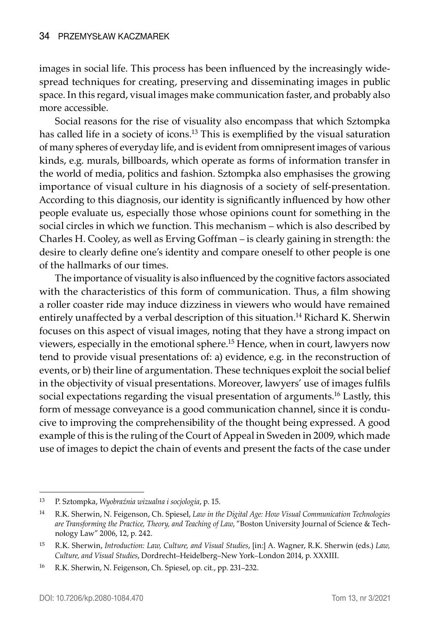images in social life. This process has been influenced by the increasingly widespread techniques for creating, preserving and disseminating images in public space. In this regard, visual images make communication faster, and probably also more accessible.

Social reasons for the rise of visuality also encompass that which Sztompka has called life in a society of icons.<sup>13</sup> This is exemplified by the visual saturation of many spheres of everyday life, and is evident from omnipresent images of various kinds, e.g. murals, billboards, which operate as forms of information transfer in the world of media, politics and fashion. Sztompka also emphasises the growing importance of visual culture in his diagnosis of a society of self-presentation. According to this diagnosis, our identity is significantly influenced by how other people evaluate us, especially those whose opinions count for something in the social circles in which we function. This mechanism – which is also described by Charles H. Cooley, as well as Erving Goffman – is clearly gaining in strength: the desire to clearly define one's identity and compare oneself to other people is one of the hallmarks of our times.

The importance of visuality is also influenced by the cognitive factors associated with the characteristics of this form of communication. Thus, a film showing a roller coaster ride may induce dizziness in viewers who would have remained entirely unaffected by a verbal description of this situation.<sup>14</sup> Richard K. Sherwin focuses on this aspect of visual images, noting that they have a strong impact on viewers, especially in the emotional sphere.15 Hence, when in court, lawyers now tend to provide visual presentations of: a) evidence, e.g. in the reconstruction of events, or b) their line of argumentation. These techniques exploit the social belief in the objectivity of visual presentations. Moreover, lawyers' use of images fulfils social expectations regarding the visual presentation of arguments.16 Lastly, this form of message conveyance is a good communication channel, since it is conducive to improving the comprehensibility of the thought being expressed. A good example of this is the ruling of the Court of Appeal in Sweden in 2009, which made use of images to depict the chain of events and present the facts of the case under

<sup>13</sup> P. Sztompka, *Wyobraźnia wizualna i socjologia*, p. 15.

<sup>14</sup> R.K. Sherwin, N. Feigenson, Ch. Spiesel, *Law in the Digital Age: How Visual Communication Technologies are Transforming the Practice, Theory, and Teaching of Law*, "Boston University Journal of Science & Technology Law" 2006, 12, p. 242.

<sup>15</sup> R.K. Sherwin, *Introduction: Law, Culture, and Visual Studies*, [in:] A. Wagner, R.K. Sherwin (eds.) *Law, Culture, and Visual Studies*, Dordrecht–Heidelberg–New York–London 2014, p. XXXIII.

<sup>16</sup> R.K. Sherwin, N. Feigenson, Ch. Spiesel, op. cit., pp. 231–232.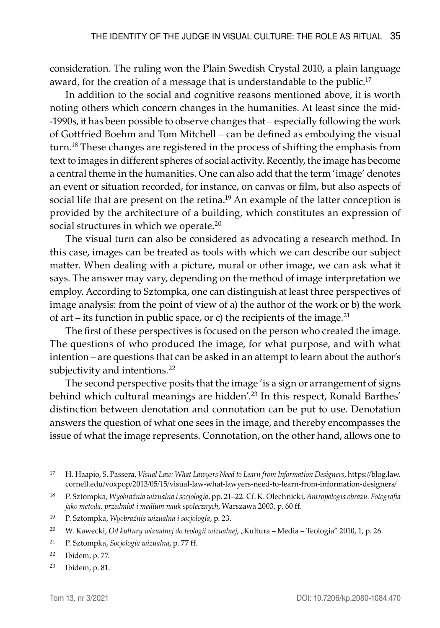consideration. The ruling won the Plain Swedish Crystal 2010, a plain language award, for the creation of a message that is understandable to the public.<sup>17</sup>

In addition to the social and cognitive reasons mentioned above, it is worth noting others which concern changes in the humanities. At least since the mid -1990s, it has been possible to observe changes that – especially following the work of Gottfried Boehm and Tom Mitchell – can be defined as embodying the visual turn.18 These changes are registered in the process of shifting the emphasis from text to images in different spheres of social activity. Recently, the image has become a central theme in the humanities. One can also add that the term 'image' denotes an event or situation recorded, for instance, on canvas or film, but also aspects of social life that are present on the retina.<sup>19</sup> An example of the latter conception is provided by the architecture of a building, which constitutes an expression of social structures in which we operate.<sup>20</sup>

The visual turn can also be considered as advocating a research method. In this case, images can be treated as tools with which we can describe our subject matter. When dealing with a picture, mural or other image, we can ask what it says. The answer may vary, depending on the method of image interpretation we employ. According to Sztompka, one can distinguish at least three perspectives of image analysis: from the point of view of a) the author of the work or b) the work of art – its function in public space, or c) the recipients of the image.<sup>21</sup>

The first of these perspectives is focused on the person who created the image. The questions of who produced the image, for what purpose, and with what intention – are questions that can be asked in an attempt to learn about the author's subjectivity and intentions.<sup>22</sup>

The second perspective posits that the image 'is a sign or arrangement of signs behind which cultural meanings are hidden'.<sup>23</sup> In this respect, Ronald Barthes' distinction between denotation and connotation can be put to use. Denotation answers the question of what one sees in the image, and thereby encompasses the issue of what the image represents. Connotation, on the other hand, allows one to

<sup>17</sup> H. Haapio, S. Passera, *Visual Law: What Lawyers Need to Learn from Information Designers*, https://blog.law. cornell.edu/voxpop/2013/05/15/visual-law-what-lawyers-need-to-learn-from-information-designers/

<sup>18</sup> P. Sztompka, *Wyobraźnia wizualna i socjologia*, pp. 21–22. Cf. K. Olechnicki, *Antropologia obrazu. Fotografia jako metoda, przedmiot i medium nauk społecznych*, Warszawa 2003, p. 60 ff.

<sup>19</sup> P. Sztompka, *Wyobraźnia wizualna i socjologia*, p. 23.

<sup>&</sup>lt;sup>20</sup> W. Kawecki, *Od kultury wizualnej do teologii wizualnej, "*Kultura – Media – Teologia" 2010, 1, p. 26.

<sup>21</sup> P. Sztompka, *Socjologia wizualna*, p. 77 ff.

<sup>22</sup> Ibidem, p. 77.

<sup>23</sup> Ibidem, p. 81.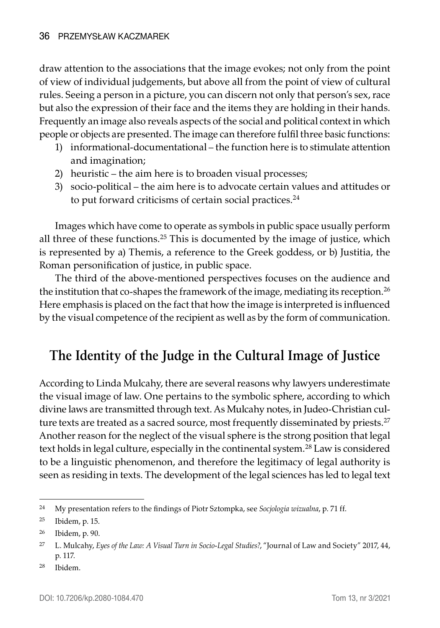draw attention to the associations that the image evokes; not only from the point of view of individual judgements, but above all from the point of view of cultural rules. Seeing a person in a picture, you can discern not only that person's sex, race but also the expression of their face and the items they are holding in their hands. Frequently an image also reveals aspects of the social and political context in which people or objects are presented. The image can therefore fulfil three basic functions:

- 1) informational-documentational the function here is to stimulate attention and imagination;
- 2) heuristic the aim here is to broaden visual processes;
- 3) socio-political the aim here is to advocate certain values and attitudes or to put forward criticisms of certain social practices.<sup>24</sup>

Images which have come to operate as symbols in public space usually perform all three of these functions.<sup>25</sup> This is documented by the image of justice, which is represented by a) Themis, a reference to the Greek goddess, or b) Justitia, the Roman personification of justice, in public space.

The third of the above-mentioned perspectives focuses on the audience and the institution that co-shapes the framework of the image, mediating its reception.<sup>26</sup> Here emphasis is placed on the fact that how the image is interpreted is influenced by the visual competence of the recipient as well as by the form of communication.

## **The Identity of the Judge in the Cultural Image of Justice**

According to Linda Mulcahy, there are several reasons why lawyers underestimate the visual image of law. One pertains to the symbolic sphere, according to which divine laws are transmitted through text. As Mulcahy notes, in Judeo-Christian culture texts are treated as a sacred source, most frequently disseminated by priests.<sup>27</sup> Another reason for the neglect of the visual sphere is the strong position that legal text holds in legal culture, especially in the continental system.<sup>28</sup> Law is considered to be a linguistic phenomenon, and therefore the legitimacy of legal authority is seen as residing in texts. The development of the legal sciences has led to legal text

<sup>28</sup> Ibidem.

<sup>24</sup> My presentation refers to the findings of Piotr Sztompka, see *Socjologia wizualna*, p. 71 ff.

<sup>25</sup> Ibidem, p. 15.

<sup>26</sup> Ibidem, p. 90.

<sup>27</sup> L. Mulcahy, *Eyes of the Law: A Visual Turn in Socio-Legal Studies?*, "Journal of Law and Society" 2017, 44, p. 117.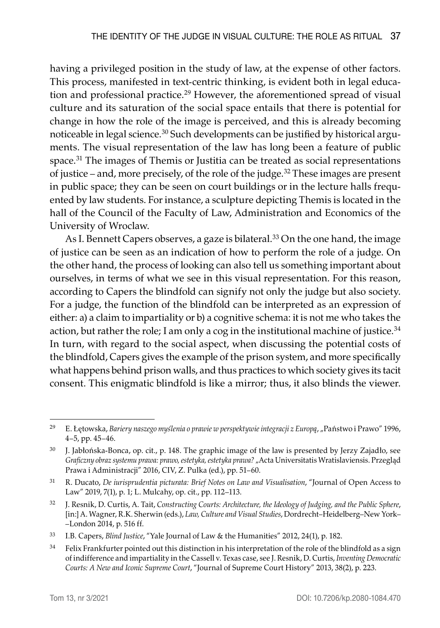having a privileged position in the study of law, at the expense of other factors. This process, manifested in text-centric thinking, is evident both in legal education and professional practice.<sup>29</sup> However, the aforementioned spread of visual culture and its saturation of the social space entails that there is potential for change in how the role of the image is perceived, and this is already becoming noticeable in legal science.30 Such developments can be justified by historical arguments. The visual representation of the law has long been a feature of public space.<sup>31</sup> The images of Themis or Justitia can be treated as social representations of justice – and, more precisely, of the role of the judge.32 These images are present in public space; they can be seen on court buildings or in the lecture halls frequented by law students. For instance, a sculpture depicting Themis is located in the hall of the Council of the Faculty of Law, Administration and Economics of the University of Wroclaw.

As I. Bennett Capers observes, a gaze is bilateral.<sup>33</sup> On the one hand, the image of justice can be seen as an indication of how to perform the role of a judge. On the other hand, the process of looking can also tell us something important about ourselves, in terms of what we see in this visual representation. For this reason, according to Capers the blindfold can signify not only the judge but also society. For a judge, the function of the blindfold can be interpreted as an expression of either: a) a claim to impartiality or b) a cognitive schema: it is not me who takes the action, but rather the role; I am only a cog in the institutional machine of justice. $34$ In turn, with regard to the social aspect, when discussing the potential costs of the blindfold, Capers gives the example of the prison system, and more specifically what happens behind prison walls, and thus practices to which society gives its tacit consent. This enigmatic blindfold is like a mirror; thus, it also blinds the viewer.

<sup>29</sup> E. Łętowska, *Bariery naszego myślenia o prawie w perspektywie integracji z Europą*, "Państwo i Prawo" 1996, 4–5, pp. 45–46.

<sup>30</sup> J. Jabłońska-Bonca, op. cit., p. 148. The graphic image of the law is presented by Jerzy Zajadło, see *Graficzny obraz systemu prawa: prawo, estetyka, estetyka prawa?* "Acta Universitatis Wratislaviensis. Przegląd Prawa i Administracji" 2016, CIV, Z. Pulka (ed.), pp. 51–60.

<sup>31</sup> R. Ducato, *De iurisprudentia picturata: Brief Notes on Law and Visualisation*, "Journal of Open Access to Law" 2019, 7(1), p. 1; L. Mulcahy, op. cit., pp. 112–113.

<sup>32</sup> J. Resnik, D. Curtis, A. Tait, *Constructing Courts: Architecture, the Ideology of Judging, and the Public Sphere*, [in:] A. Wagner, R.K. Sherwin (eds.), *Law, Culture and Visual Studies*, Dordrecht–Heidelberg–New York– –London 2014, p. 516 ff.

<sup>33</sup> I.B. Capers, *Blind Justice*, "Yale Journal of Law & the Humanities" 2012, 24(1), p. 182.

 $34$  Felix Frankfurter pointed out this distinction in his interpretation of the role of the blindfold as a sign of indifference and impartiality in the Cassell v. Texas case, see J. Resnik, D. Curtis, *Inventing Democratic Courts: A New and Iconic Supreme Court*, "Journal of Supreme Court History" 2013, 38(2), p. 223.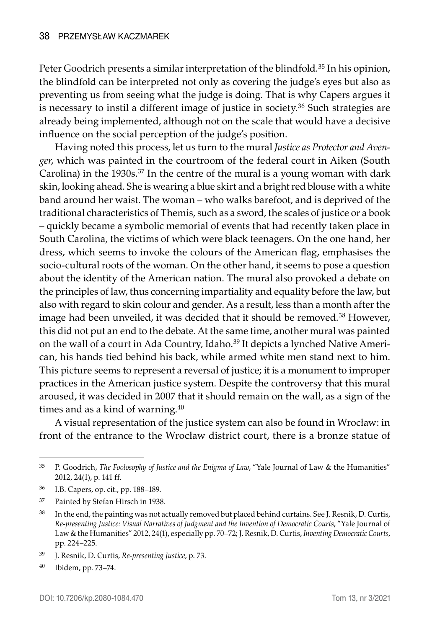Peter Goodrich presents a similar interpretation of the blindfold.<sup>35</sup> In his opinion, the blindfold can be interpreted not only as covering the judge's eyes but also as preventing us from seeing what the judge is doing. That is why Capers argues it is necessary to instil a different image of justice in society.<sup>36</sup> Such strategies are already being implemented, although not on the scale that would have a decisive influence on the social perception of the judge's position.

Having noted this process, let us turn to the mural *Justice as Protector and Avenger*, which was painted in the courtroom of the federal court in Aiken (South Carolina) in the 1930s.<sup>37</sup> In the centre of the mural is a young woman with dark skin, looking ahead. She is wearing a blue skirt and a bright red blouse with a white band around her waist. The woman – who walks barefoot, and is deprived of the traditional characteristics of Themis, such as a sword, the scales of justice or a book – quickly became a symbolic memorial of events that had recently taken place in South Carolina, the victims of which were black teenagers. On the one hand, her dress, which seems to invoke the colours of the American flag, emphasises the socio-cultural roots of the woman. On the other hand, it seems to pose a question about the identity of the American nation. The mural also provoked a debate on the principles of law, thus concerning impartiality and equality before the law, but also with regard to skin colour and gender. As a result, less than a month after the image had been unveiled, it was decided that it should be removed.<sup>38</sup> However, this did not put an end to the debate. At the same time, another mural was painted on the wall of a court in Ada Country, Idaho.<sup>39</sup> It depicts a lynched Native American, his hands tied behind his back, while armed white men stand next to him. This picture seems to represent a reversal of justice; it is a monument to improper practices in the American justice system. Despite the controversy that this mural aroused, it was decided in 2007 that it should remain on the wall, as a sign of the times and as a kind of warning.<sup>40</sup>

A visual representation of the justice system can also be found in Wrocław: in front of the entrance to the Wrocław district court, there is a bronze statue of

- <sup>36</sup> I.B. Capers, op. cit., pp. 188–189.
- <sup>37</sup> Painted by Stefan Hirsch in 1938.

<sup>35</sup> P. Goodrich, *The Foolosophy of Justice and the Enigma of Law*, "Yale Journal of Law & the Humanities" 2012, 24(1), p. 141 ff.

<sup>38</sup> In the end, the painting was not actually removed but placed behind curtains. See J. Resnik, D. Curtis, *Re-presenting Justice: Visual Narratives of Judgment and the Invention of Democratic Courts*, "Yale Journal of Law & the Humanities" 2012, 24(1), especially pp. 70–72; J. Resnik, D. Curtis, *Inventing Democratic Courts*, pp. 224–225.

<sup>39</sup> J. Resnik, D. Curtis, *Re-presenting Justice*, p. 73.

<sup>40</sup> Ibidem, pp. 73–74.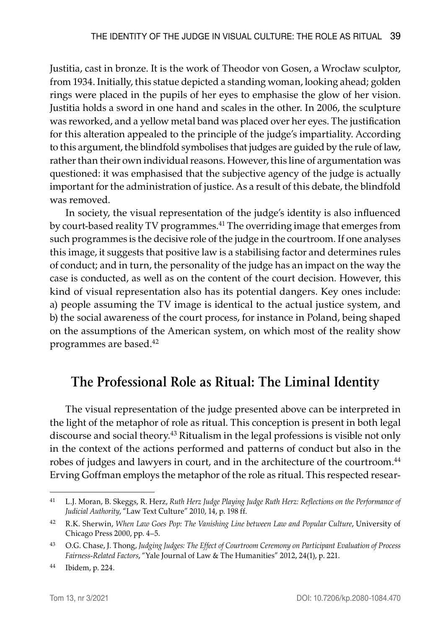Justitia, cast in bronze. It is the work of Theodor von Gosen, a Wrocław sculptor, from 1934. Initially, this statue depicted a standing woman, looking ahead; golden rings were placed in the pupils of her eyes to emphasise the glow of her vision. Justitia holds a sword in one hand and scales in the other. In 2006, the sculpture was reworked, and a yellow metal band was placed over her eyes. The justification for this alteration appealed to the principle of the judge's impartiality. According to this argument, the blindfold symbolises that judges are guided by the rule of law, rather than their own individual reasons. However, this line of argumentation was questioned: it was emphasised that the subjective agency of the judge is actually important for the administration of justice. As a result of this debate, the blindfold was removed.

In society, the visual representation of the judge's identity is also influenced by court-based reality TV programmes.<sup>41</sup> The overriding image that emerges from such programmes is the decisive role of the judge in the courtroom. If one analyses this image, it suggests that positive law is a stabilising factor and determines rules of conduct; and in turn, the personality of the judge has an impact on the way the case is conducted, as well as on the content of the court decision. However, this kind of visual representation also has its potential dangers. Key ones include: a) people assuming the TV image is identical to the actual justice system, and b) the social awareness of the court process, for instance in Poland, being shaped on the assumptions of the American system, on which most of the reality show programmes are based.42

### **The Professional Role as Ritual: The Liminal Identity**

The visual representation of the judge presented above can be interpreted in the light of the metaphor of role as ritual. This conception is present in both legal discourse and social theory.<sup>43</sup> Ritualism in the legal professions is visible not only in the context of the actions performed and patterns of conduct but also in the robes of judges and lawyers in court, and in the architecture of the courtroom.<sup>44</sup> Erving Goffman employs the metaphor of the role as ritual. This respected resear-

<sup>41</sup> L.J. Moran, B. Skeggs, R. Herz, *Ruth Herz Judge Playing Judge Ruth Herz: Reflections on the Performance of Judicial Authority*, "Law Text Culture" 2010, 14, p. 198 ff.

<sup>42</sup> R.K. Sherwin, *When Law Goes Pop: The Vanishing Line between Law and Popular Culture*, University of Chicago Press 2000, pp. 4–5.

<sup>43</sup> O.G. Chase, J. Thong, *Judging Judges: The Effect of Courtroom Ceremony on Participant Evaluation of Process Fairness-Related Factors*, "Yale Journal of Law & The Humanities" 2012, 24(1), p. 221.

<sup>44</sup> Ibidem, p. 224.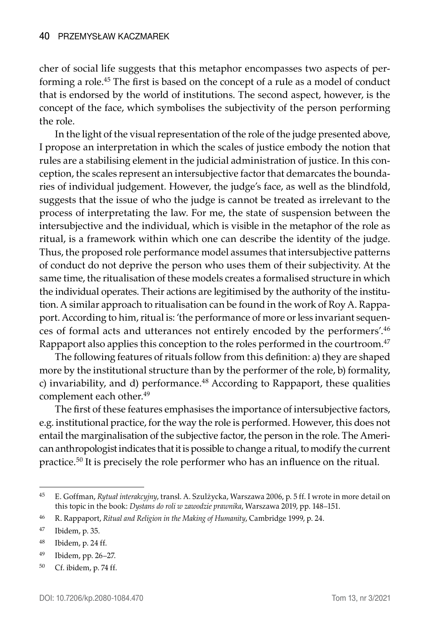cher of social life suggests that this metaphor encompasses two aspects of performing a role.<sup>45</sup> The first is based on the concept of a rule as a model of conduct that is endorsed by the world of institutions. The second aspect, however, is the concept of the face, which symbolises the subjectivity of the person performing the role.

In the light of the visual representation of the role of the judge presented above, I propose an interpretation in which the scales of justice embody the notion that rules are a stabilising element in the judicial administration of justice. In this conception, the scales represent an intersubjective factor that demarcates the boundaries of individual judgement. However, the judge's face, as well as the blindfold, suggests that the issue of who the judge is cannot be treated as irrelevant to the process of interpretating the law. For me, the state of suspension between the intersubjective and the individual, which is visible in the metaphor of the role as ritual, is a framework within which one can describe the identity of the judge. Thus, the proposed role performance model assumes that intersubjective patterns of conduct do not deprive the person who uses them of their subjectivity. At the same time, the ritualisation of these models creates a formalised structure in which the individual operates. Their actions are legitimised by the authority of the institution. A similar approach to ritualisation can be found in the work of Roy A. Rappaport. According to him, ritual is: 'the performance of more or less invariant sequences of formal acts and utterances not entirely encoded by the performers'.46 Rappaport also applies this conception to the roles performed in the courtroom.<sup>47</sup>

The following features of rituals follow from this definition: a) they are shaped more by the institutional structure than by the performer of the role, b) formality, c) invariability, and d) performance. $48$  According to Rappaport, these qualities complement each other.<sup>49</sup>

The first of these features emphasises the importance of intersubjective factors, e.g. institutional practice, for the way the role is performed. However, this does not entail the marginalisation of the subjective factor, the person in the role. The American anthropologist indicates that it is possible to change a ritual, to modify the current practice.50 It is precisely the role performer who has an influence on the ritual.

<sup>45</sup> E. Goffman, *Rytuał interakcyjny*, transl. A. Szulżycka, Warszawa 2006, p. 5 ff. I wrote in more detail on this topic in the book: *Dystans do roli w zawodzie prawnika*, Warszawa 2019, pp. 148–151.

<sup>46</sup> R. Rappaport, *Ritual and Religion in the Making of Humanity*, Cambridge 1999, p. 24.

<sup>47</sup> Ibidem, p. 35.

<sup>48</sup> Ibidem, p. 24 ff.

<sup>49</sup> Ibidem, pp. 26–27.

<sup>50</sup> Cf. ibidem, p. 74 ff.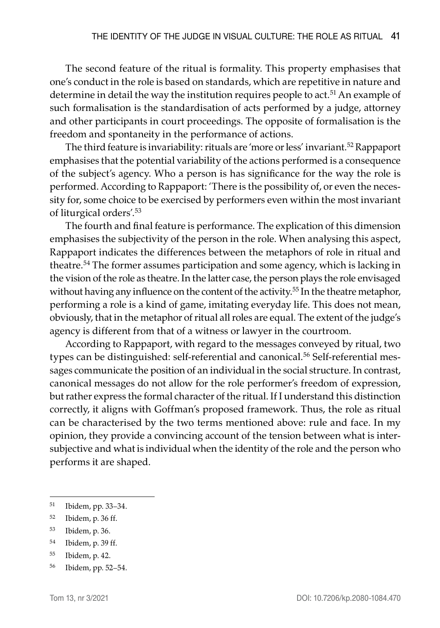The second feature of the ritual is formality. This property emphasises that one's conduct in the role is based on standards, which are repetitive in nature and determine in detail the way the institution requires people to act.<sup>51</sup> An example of such formalisation is the standardisation of acts performed by a judge, attorney and other participants in court proceedings. The opposite of formalisation is the freedom and spontaneity in the performance of actions.

The third feature is invariability: rituals are 'more or less' invariant.<sup>52</sup> Rappaport emphasises that the potential variability of the actions performed is a consequence of the subject's agency. Who a person is has significance for the way the role is performed. According to Rappaport: 'There is the possibility of, or even the necessity for, some choice to be exercised by performers even within the most invariant of liturgical orders'.53

The fourth and final feature is performance. The explication of this dimension emphasises the subjectivity of the person in the role. When analysing this aspect, Rappaport indicates the differences between the metaphors of role in ritual and theatre.54 The former assumes participation and some agency, which is lacking in the vision of the role as theatre. In the latter case, the person plays the role envisaged without having any influence on the content of the activity.<sup>55</sup> In the theatre metaphor, performing a role is a kind of game, imitating everyday life. This does not mean, obviously, that in the metaphor of ritual all roles are equal. The extent of the judge's agency is different from that of a witness or lawyer in the courtroom.

According to Rappaport, with regard to the messages conveyed by ritual, two types can be distinguished: self-referential and canonical.<sup>56</sup> Self-referential messages communicate the position of an individual in the social structure. In contrast, canonical messages do not allow for the role performer's freedom of expression, but rather express the formal character of the ritual. If I understand this distinction correctly, it aligns with Goffman's proposed framework. Thus, the role as ritual can be characterised by the two terms mentioned above: rule and face. In my opinion, they provide a convincing account of the tension between what is intersubjective and what is individual when the identity of the role and the person who performs it are shaped.

- <sup>53</sup> Ibidem, p. 36.
- <sup>54</sup> Ibidem, p. 39 ff.
- <sup>55</sup> Ibidem, p. 42.
- <sup>56</sup> Ibidem, pp. 52–54.

<sup>51</sup> Ibidem, pp. 33–34.

<sup>52</sup> Ibidem, p. 36 ff.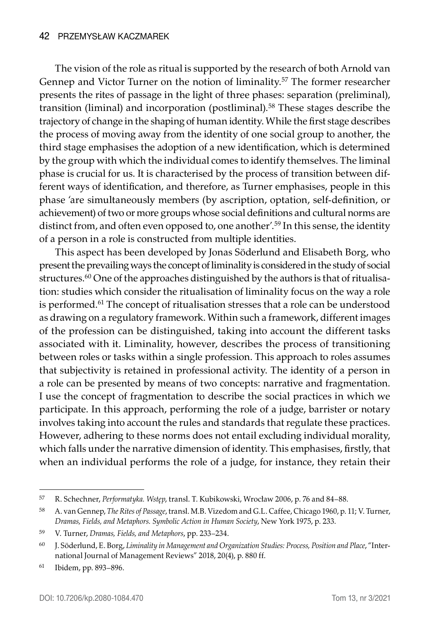The vision of the role as ritual is supported by the research of both Arnold van Gennep and Victor Turner on the notion of liminality.<sup>57</sup> The former researcher presents the rites of passage in the light of three phases: separation (preliminal), transition (liminal) and incorporation (postliminal).58 These stages describe the trajectory of change in the shaping of human identity. While the first stage describes the process of moving away from the identity of one social group to another, the third stage emphasises the adoption of a new identification, which is determined by the group with which the individual comes to identify themselves. The liminal phase is crucial for us. It is characterised by the process of transition between different ways of identification, and therefore, as Turner emphasises, people in this phase 'are simultaneously members (by ascription, optation, self-definition, or achievement) of two or more groups whose social definitions and cultural norms are distinct from, and often even opposed to, one another'.<sup>59</sup> In this sense, the identity of a person in a role is constructed from multiple identities.

This aspect has been developed by Jonas Söderlund and Elisabeth Borg, who present the prevailing ways the concept of liminality is considered in the study of social structures.<sup>60</sup> One of the approaches distinguished by the authors is that of ritualisation: studies which consider the ritualisation of liminality focus on the way a role is performed.<sup>61</sup> The concept of ritualisation stresses that a role can be understood as drawing on a regulatory framework. Within such a framework, different images of the profession can be distinguished, taking into account the different tasks associated with it. Liminality, however, describes the process of transitioning between roles or tasks within a single profession. This approach to roles assumes that subjectivity is retained in professional activity. The identity of a person in a role can be presented by means of two concepts: narrative and fragmentation. I use the concept of fragmentation to describe the social practices in which we participate. In this approach, performing the role of a judge, barrister or notary involves taking into account the rules and standards that regulate these practices. However, adhering to these norms does not entail excluding individual morality, which falls under the narrative dimension of identity. This emphasises, firstly, that when an individual performs the role of a judge, for instance, they retain their

<sup>57</sup> R. Schechner, *Performatyka. Wstęp*, transl. T. Kubikowski, Wrocław 2006, p. 76 and 84–88.

<sup>58</sup> A. van Gennep, *The Rites of Passage*, transl. M.B. Vizedom and G.L. Caffee, Chicago 1960, p. 11; V. Turner, *Dramas, Fields, and Metaphors. Symbolic Action in Human Society*, New York 1975, p. 233.

<sup>59</sup> V. Turner, *Dramas, Fields, and Metaphors*, pp. 233–234.

<sup>60</sup> J. Söderlund, E. Borg, *Liminality in Management and Organization Studies: Process, Position and Place*, "International Journal of Management Reviews" 2018, 20(4), p. 880 ff.

<sup>61</sup> Ibidem, pp. 893–896.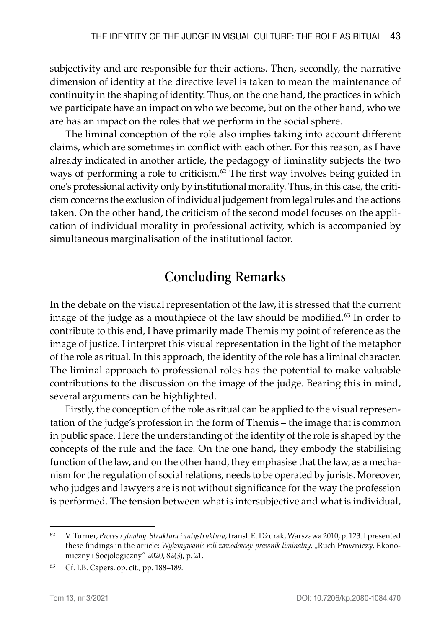subjectivity and are responsible for their actions. Then, secondly, the narrative dimension of identity at the directive level is taken to mean the maintenance of continuity in the shaping of identity. Thus, on the one hand, the practices in which we participate have an impact on who we become, but on the other hand, who we are has an impact on the roles that we perform in the social sphere.

The liminal conception of the role also implies taking into account different claims, which are sometimes in conflict with each other. For this reason, as I have already indicated in another article, the pedagogy of liminality subjects the two ways of performing a role to criticism.<sup>62</sup> The first way involves being guided in one's professional activity only by institutional morality. Thus, in this case, the criticism concerns the exclusion of individual judgement from legal rules and the actions taken. On the other hand, the criticism of the second model focuses on the application of individual morality in professional activity, which is accompanied by simultaneous marginalisation of the institutional factor.

## **Concluding Remarks**

In the debate on the visual representation of the law, it is stressed that the current image of the judge as a mouthpiece of the law should be modified.<sup>63</sup> In order to contribute to this end, I have primarily made Themis my point of reference as the image of justice. I interpret this visual representation in the light of the metaphor of the role as ritual. In this approach, the identity of the role has a liminal character. The liminal approach to professional roles has the potential to make valuable contributions to the discussion on the image of the judge. Bearing this in mind, several arguments can be highlighted.

Firstly, the conception of the role as ritual can be applied to the visual representation of the judge's profession in the form of Themis – the image that is common in public space. Here the understanding of the identity of the role is shaped by the concepts of the rule and the face. On the one hand, they embody the stabilising function of the law, and on the other hand, they emphasise that the law, as a mechanism for the regulation of social relations, needs to be operated by jurists. Moreover, who judges and lawyers are is not without significance for the way the profession is performed. The tension between what is intersubjective and what is individual,

<sup>62</sup> V. Turner, *Proces rytualny. Struktura i antystruktura*, transl. E. Dżurak, Warszawa 2010, p. 123. I presented these findings in the article: *Wykonywanie roli zawodowej: prawnik liminalny*, "Ruch Prawniczy, Ekonomiczny i Socjologiczny" 2020, 82(3), p. 21.

<sup>63</sup> Cf. I.B. Capers, op. cit., pp. 188–189.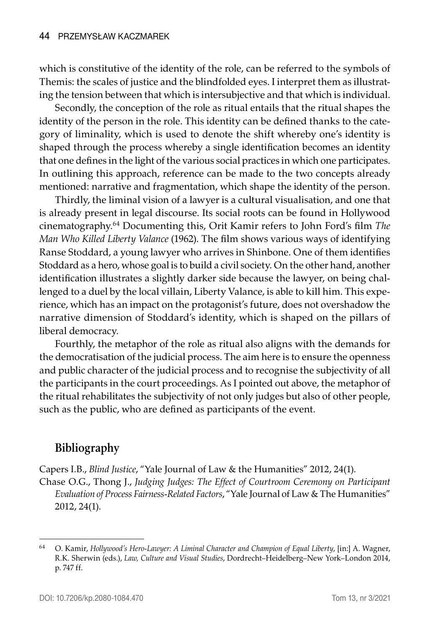which is constitutive of the identity of the role, can be referred to the symbols of Themis: the scales of justice and the blindfolded eyes. I interpret them as illustrating the tension between that which is intersubjective and that which is individual.

Secondly, the conception of the role as ritual entails that the ritual shapes the identity of the person in the role. This identity can be defined thanks to the category of liminality, which is used to denote the shift whereby one's identity is shaped through the process whereby a single identification becomes an identity that one defines in the light of the various social practices in which one participates. In outlining this approach, reference can be made to the two concepts already mentioned: narrative and fragmentation, which shape the identity of the person.

Thirdly, the liminal vision of a lawyer is a cultural visualisation, and one that is already present in legal discourse. Its social roots can be found in Hollywood cinematography.64 Documenting this, Orit Kamir refers to John Ford's film *The Man Who Killed Liberty Valance* (1962). The film shows various ways of identifying Ranse Stoddard, a young lawyer who arrives in Shinbone. One of them identifies Stoddard as a hero, whose goal is to build a civil society. On the other hand, another identification illustrates a slightly darker side because the lawyer, on being challenged to a duel by the local villain, Liberty Valance, is able to kill him. This experience, which has an impact on the protagonist's future, does not overshadow the narrative dimension of Stoddard's identity, which is shaped on the pillars of liberal democracy.

Fourthly, the metaphor of the role as ritual also aligns with the demands for the democratisation of the judicial process. The aim here is to ensure the openness and public character of the judicial process and to recognise the subjectivity of all the participants in the court proceedings. As I pointed out above, the metaphor of the ritual rehabilitates the subjectivity of not only judges but also of other people, such as the public, who are defined as participants of the event.

### **Bibliography**

Capers I.B., *Blind Justice*, "Yale Journal of Law & the Humanities" 2012, 24(1).

Chase O.G., Thong J., *Judging Judges: The Effect of Courtroom Ceremony on Participant Evaluation of Process Fairness-Related Factors*, "Yale Journal of Law & The Humanities" 2012, 24(1).

<sup>64</sup> O. Kamir, *Hollywood's Hero-Lawyer: A Liminal Character and Champion of Equal Liberty*, [in:] A. Wagner, R.K. Sherwin (eds.), *Law, Culture and Visual Studies*, Dordrecht–Heidelberg–New York–London 2014, p. 747 ff.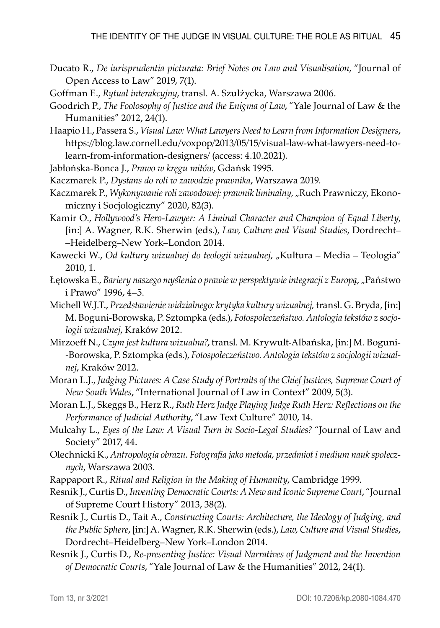- Ducato R., *De iurisprudentia picturata: Brief Notes on Law and Visualisation*, "Journal of Open Access to Law" 2019, 7(1).
- Goffman E., *Rytuał interakcyjny*, transl. A. Szulżycka, Warszawa 2006.
- Goodrich P., *The Foolosophy of Justice and the Enigma of Law*, "Yale Journal of Law & the Humanities" 2012, 24(1).
- Haapio H., Passera S., *Visual Law: What Lawyers Need to Learn from Information Designers*, https://blog.law.cornell.edu/voxpop/2013/05/15/visual-law-what-lawyers-need-tolearn-from-information-designers/ (access: 4.10.2021).
- Jabłońska-Bonca J., *Prawo w kręgu mitów*, Gdańsk 1995.
- Kaczmarek P., *Dystans do roli w zawodzie prawnika*, Warszawa 2019.
- Kaczmarek P., *Wykonywanie roli zawodowej: prawnik liminalny*, "Ruch Prawniczy, Ekonomiczny i Socjologiczny" 2020, 82(3).
- Kamir O., *Hollywood's Hero-Lawyer: A Liminal Character and Champion of Equal Liberty*, [in:] A. Wagner, R.K. Sherwin (eds.), *Law, Culture and Visual Studies*, Dordrecht– –Heidelberg–New York–London 2014.
- Kawecki W., *Od kultury wizualnej do teologii wizualnej*, "Kultura Media Teologia" 2010, 1.
- Łętowska E., *Bariery naszego myślenia o prawie w perspektywie integracji z Europą*, "Państwo i Prawo" 1996, 4–5.
- Michell W.J.T., *Przedstawienie widzialnego: krytyka kultury wizualnej,* transl. G. Bryda, [in:] M. Boguni-Borowska, P. Sztompka (eds.), *Fotospołeczeństwo. Antologia tekstów z socjologii wizualnej*, Kraków 2012.
- Mirzoeff N., *Czym jest kultura wizualna?*, transl. M. Krywult-Albańska, [in:] M. Boguni -Borowska, P. Sztompka (eds.), *Fotospołeczeństwo. Antologia tekstów z socjologii wizualnej*, Kraków 2012.
- Moran L.J., *Judging Pictures: A Case Study of Portraits of the Chief Justices, Supreme Court of New South Wales*, "International Journal of Law in Context" 2009, 5(3).
- Moran L.J., Skeggs B., Herz R., *Ruth Herz Judge Playing Judge Ruth Herz: Reflections on the Performance of Judicial Authority*, "Law Text Culture" 2010, 14.
- Mulcahy L., *Eyes of the Law: A Visual Turn in Socio-Legal Studies?* "Journal of Law and Society" 2017, 44.
- Olechnicki K., *Antropologia obrazu. Fotografia jako metoda, przedmiot i medium nauk społecznych*, Warszawa 2003.
- Rappaport R., *Ritual and Religion in the Making of Humanity*, Cambridge 1999.
- Resnik J., Curtis D., *Inventing Democratic Courts: A New and Iconic Supreme Court*, "Journal of Supreme Court History" 2013, 38(2).
- Resnik J., Curtis D., Tait A., *Constructing Courts: Architecture, the Ideology of Judging, and the Public Sphere*, [in:] A. Wagner, R.K. Sherwin (eds.), *Law, Culture and Visual Studies*, Dordrecht–Heidelberg–New York–London 2014.
- Resnik J., Curtis D., *Re-presenting Justice: Visual Narratives of Judgment and the Invention of Democratic Courts*, "Yale Journal of Law & the Humanities" 2012, 24(1).